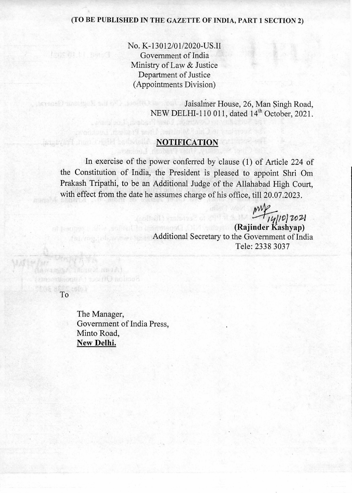### (TO BE PUBLISHED IN THE GAZETTE OF INDIA, PART 1 SECTION 2)

No. K-13012/01/2020-US.II Government of India Ministry of Law & Justice Department of Justice (Appointments Division)

> Jaisalmer House, 26, Man Singh Road, NEW DELHI-110 011, dated 14<sup>th</sup> October, 2021.

## **NOTIFICATION**

In exercise of the power conferred by clause (1) of Article 224 of the Constitution of India, the President is pleased to appoint Shri Om Prakash Tripathi, to be an Additional Judge of the Allahabad High Court, with effect from the date he assumes charge of his office, till 20.07.2023.

> $M_{\star}$ **(Rajinder Kashyap)**  Additional Secretary to the Government of India Tele: 2338 3037

To

住在 的比较 Better

terage Principle E

The Manager, Government of India Press, Minto Road, New **Delhi.** 

Wheel Hark wount secrit minos?